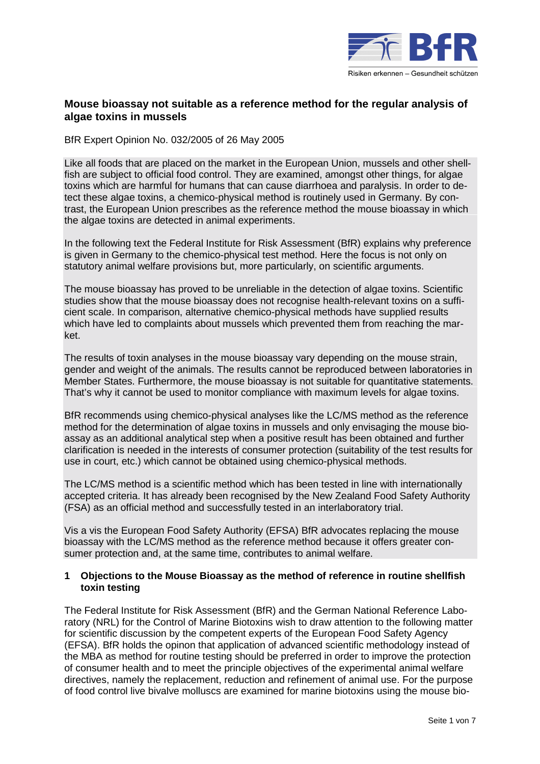

## **Mouse bioassay not suitable as a reference method for the regular analysis of algae toxins in mussels**

BfR Expert Opinion No. 032/2005 of 26 May 2005

Like all foods that are placed on the market in the European Union, mussels and other shellfish are subject to official food control. They are examined, amongst other things, for algae toxins which are harmful for humans that can cause diarrhoea and paralysis. In order to detect these algae toxins, a chemico-physical method is routinely used in Germany. By contrast, the European Union prescribes as the reference method the mouse bioassay in which the algae toxins are detected in animal experiments.

In the following text the Federal Institute for Risk Assessment (BfR) explains why preference is given in Germany to the chemico-physical test method. Here the focus is not only on statutory animal welfare provisions but, more particularly, on scientific arguments.

The mouse bioassay has proved to be unreliable in the detection of algae toxins. Scientific studies show that the mouse bioassay does not recognise health-relevant toxins on a sufficient scale. In comparison, alternative chemico-physical methods have supplied results which have led to complaints about mussels which prevented them from reaching the market.

The results of toxin analyses in the mouse bioassay vary depending on the mouse strain, gender and weight of the animals. The results cannot be reproduced between laboratories in Member States. Furthermore, the mouse bioassay is not suitable for quantitative statements. That's why it cannot be used to monitor compliance with maximum levels for algae toxins.

BfR recommends using chemico-physical analyses like the LC/MS method as the reference method for the determination of algae toxins in mussels and only envisaging the mouse bioassay as an additional analytical step when a positive result has been obtained and further clarification is needed in the interests of consumer protection (suitability of the test results for use in court, etc.) which cannot be obtained using chemico-physical methods.

The LC/MS method is a scientific method which has been tested in line with internationally accepted criteria. It has already been recognised by the New Zealand Food Safety Authority (FSA) as an official method and successfully tested in an interlaboratory trial.

Vis a vis the European Food Safety Authority (EFSA) BfR advocates replacing the mouse bioassay with the LC/MS method as the reference method because it offers greater consumer protection and, at the same time, contributes to animal welfare.

## **1 Objections to the Mouse Bioassay as the method of reference in routine shellfish toxin testing**

The Federal Institute for Risk Assessment (BfR) and the German National Reference Laboratory (NRL) for the Control of Marine Biotoxins wish to draw attention to the following matter for scientific discussion by the competent experts of the European Food Safety Agency (EFSA). BfR holds the opinon that application of advanced scientific methodology instead of the MBA as method for routine testing should be preferred in order to improve the protection of consumer health and to meet the principle objectives of the experimental animal welfare directives, namely the replacement, reduction and refinement of animal use. For the purpose of food control live bivalve molluscs are examined for marine biotoxins using the mouse bio-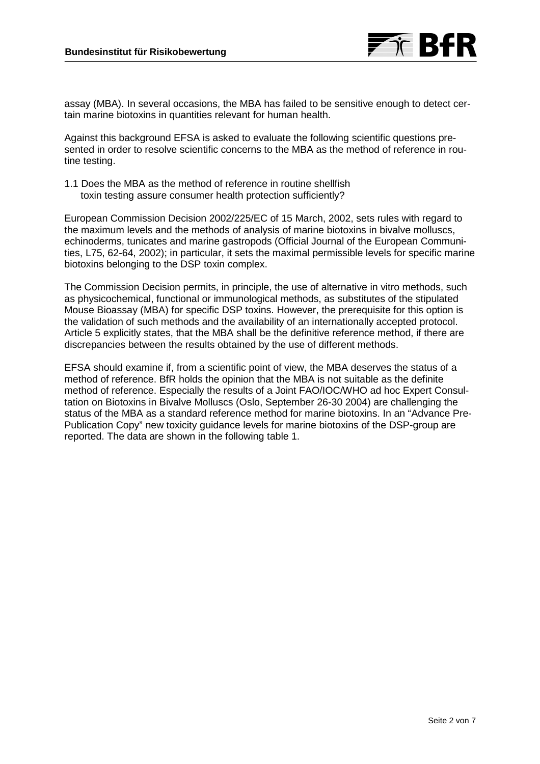

assay (MBA). In several occasions, the MBA has failed to be sensitive enough to detect certain marine biotoxins in quantities relevant for human health.

Against this background EFSA is asked to evaluate the following scientific questions presented in order to resolve scientific concerns to the MBA as the method of reference in routine testing.

1.1 Does the MBA as the method of reference in routine shellfish toxin testing assure consumer health protection sufficiently?

European Commission Decision 2002/225/EC of 15 March, 2002, sets rules with regard to the maximum levels and the methods of analysis of marine biotoxins in bivalve molluscs, echinoderms, tunicates and marine gastropods (Official Journal of the European Communities, L75, 62-64, 2002); in particular, it sets the maximal permissible levels for specific marine biotoxins belonging to the DSP toxin complex.

The Commission Decision permits, in principle, the use of alternative in vitro methods, such as physicochemical, functional or immunological methods, as substitutes of the stipulated Mouse Bioassay (MBA) for specific DSP toxins. However, the prerequisite for this option is the validation of such methods and the availability of an internationally accepted protocol. Article 5 explicitly states, that the MBA shall be the definitive reference method, if there are discrepancies between the results obtained by the use of different methods.

EFSA should examine if, from a scientific point of view, the MBA deserves the status of a method of reference. BfR holds the opinion that the MBA is not suitable as the definite method of reference. Especially the results of a Joint FAO/IOC/WHO ad hoc Expert Consultation on Biotoxins in Bivalve Molluscs (Oslo, September 26-30 2004) are challenging the status of the MBA as a standard reference method for marine biotoxins. In an "Advance Pre-Publication Copy" new toxicity guidance levels for marine biotoxins of the DSP-group are reported. The data are shown in the following table 1.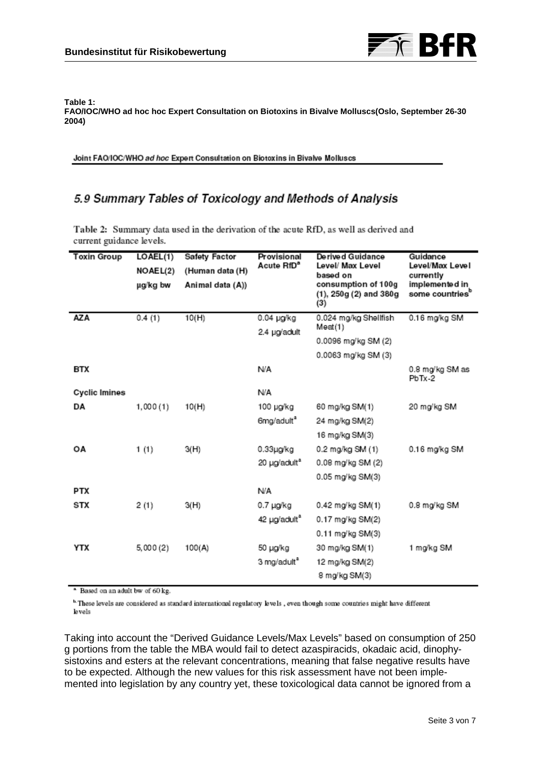

#### **Table 1: FAO/IOC/WHO ad hoc hoc Expert Consultation on Biotoxins in Bivalve Molluscs(Oslo, September 26-30 2004)**

Joint FAO/IOC/WHO ad hoc Expert Consultation on Biotoxins in Bivalve Molluscs

# 5.9 Summary Tables of Toxicology and Methods of Analysis

Table 2: Summary data used in the derivation of the acute RfD, as well as derived and current guidance levels.

| <b>Toxin Group</b>   | LOAEL(1)<br>NOAEL(2)<br>µg/kg bw | <b>Safety Factor</b><br>(Human data (H)<br>Animal data (A)) | Provisional<br>Acute RfD <sup>a</sup> | De rive d Guidance<br>Level/ Max Level<br>based on<br>consumption of 100g<br>$(1), 250g (2)$ and $380g$<br>(3) | Guidance<br>Level/Max Level<br>currently<br>implemented in<br>some countries <sup>b</sup> |
|----------------------|----------------------------------|-------------------------------------------------------------|---------------------------------------|----------------------------------------------------------------------------------------------------------------|-------------------------------------------------------------------------------------------|
| <b>AZA</b>           | 0.4(1)                           | 10(H)                                                       | 0.04 µg/kg                            | 0.024 mg/kg Shellfish<br>Meat(1)<br>0.0096 mg/kg SM (2)                                                        | 0.16 mg/kg SM                                                                             |
|                      |                                  |                                                             | 2.4 µg/adult                          |                                                                                                                |                                                                                           |
|                      |                                  |                                                             |                                       | 0.0063 mg/kg SM (3)                                                                                            |                                                                                           |
| BTX                  |                                  |                                                             | N/A                                   |                                                                                                                | 0.8 mg/kg SM as<br>PbTx-2                                                                 |
| <b>Cyclic Imines</b> |                                  |                                                             | N/A                                   |                                                                                                                |                                                                                           |
| DA                   | 1,000(1)                         | 10(H)                                                       | 100 µg/kg                             | 60 mg/kg SM(1)                                                                                                 | 20 mg/kg SM                                                                               |
|                      |                                  |                                                             | 6mg/adult <sup>a</sup>                | 24 mg/kg SM(2)                                                                                                 |                                                                                           |
|                      |                                  |                                                             |                                       | 16 mg/kg SM(3)                                                                                                 |                                                                                           |
| ΟA                   | 1(1)                             | 3(H)                                                        | $0.33$ µg/kg                          | 0.2 mg/kg SM (1)                                                                                               | 0.16 mg/kg SM                                                                             |
|                      |                                  |                                                             | 20 µg/adult <sup>a</sup>              | 0.08 mg/kg SM (2)                                                                                              |                                                                                           |
|                      |                                  |                                                             |                                       | 0.05 mg/kg SM(3)                                                                                               |                                                                                           |
| PTX                  |                                  |                                                             | N/A                                   |                                                                                                                |                                                                                           |
| STX                  | 2(1)                             | 3(H)                                                        | 0.7 µg/kg                             | 0.42 mg/kg SM(1)                                                                                               | 0.8 mg/kg SM                                                                              |
|                      |                                  |                                                             | 42 µg/adult <sup>a</sup>              | 0.17 mg/kg SM(2)                                                                                               |                                                                                           |
|                      |                                  |                                                             |                                       | 0.11 mg/kg SM(3)                                                                                               |                                                                                           |
| YTX                  | 5,000(2)                         | 100(A)                                                      | 50 µg/kg                              | 30 mg/kg SM(1)                                                                                                 | 1 mg/kg SM                                                                                |
|                      |                                  |                                                             | 3 mg/adult <sup>a</sup>               | 12 mg/kg SM(2)<br>8 mg/kg SM(3)                                                                                |                                                                                           |

<sup>a</sup> Based on an adult bw of 60 kg.

<sup>b</sup> These levels are considered as standard international regulatory levels, even though some countries might have different levels

Taking into account the "Derived Guidance Levels/Max Levels" based on consumption of 250 g portions from the table the MBA would fail to detect azaspiracids, okadaic acid, dinophysistoxins and esters at the relevant concentrations, meaning that false negative results have to be expected. Although the new values for this risk assessment have not been implemented into legislation by any country yet, these toxicological data cannot be ignored from a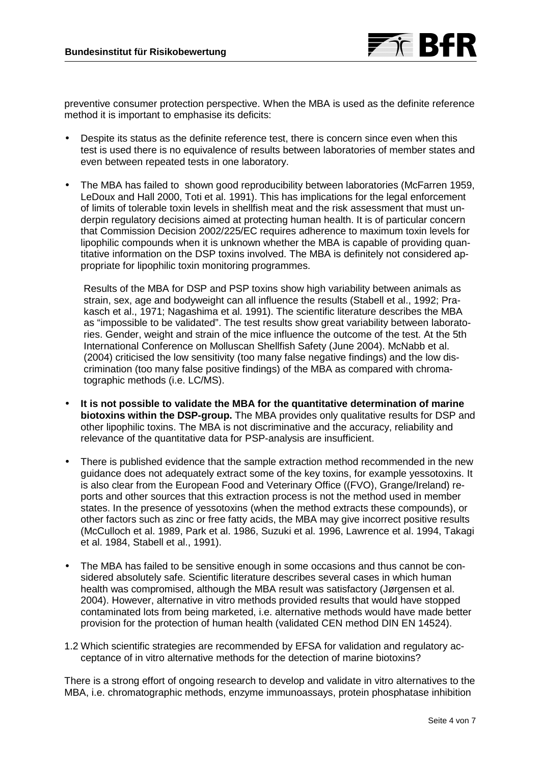

preventive consumer protection perspective. When the MBA is used as the definite reference method it is important to emphasise its deficits:

- Despite its status as the definite reference test, there is concern since even when this test is used there is no equivalence of results between laboratories of member states and even between repeated tests in one laboratory.
- The MBA has failed to shown good reproducibility between laboratories (McFarren 1959, LeDoux and Hall 2000, Toti et al. 1991). This has implications for the legal enforcement of limits of tolerable toxin levels in shellfish meat and the risk assessment that must underpin regulatory decisions aimed at protecting human health. It is of particular concern that Commission Decision 2002/225/EC requires adherence to maximum toxin levels for lipophilic compounds when it is unknown whether the MBA is capable of providing quantitative information on the DSP toxins involved. The MBA is definitely not considered appropriate for lipophilic toxin monitoring programmes.

Results of the MBA for DSP and PSP toxins show high variability between animals as strain, sex, age and bodyweight can all influence the results (Stabell et al., 1992; Prakasch et al., 1971; Nagashima et al. 1991). The scientific literature describes the MBA as "impossible to be validated". The test results show great variability between laboratories. Gender, weight and strain of the mice influence the outcome of the test. At the 5th International Conference on Molluscan Shellfish Safety (June 2004). McNabb et al. (2004) criticised the low sensitivity (too many false negative findings) and the low discrimination (too many false positive findings) of the MBA as compared with chromatographic methods (i.e. LC/MS).

- **It is not possible to validate the MBA for the quantitative determination of marine biotoxins within the DSP-group.** The MBA provides only qualitative results for DSP and other lipophilic toxins. The MBA is not discriminative and the accuracy, reliability and relevance of the quantitative data for PSP-analysis are insufficient.
- There is published evidence that the sample extraction method recommended in the new guidance does not adequately extract some of the key toxins, for example yessotoxins. It is also clear from the European Food and Veterinary Office ((FVO), Grange/Ireland) reports and other sources that this extraction process is not the method used in member states. In the presence of yessotoxins (when the method extracts these compounds), or other factors such as zinc or free fatty acids, the MBA may give incorrect positive results (McCulloch et al. 1989, Park et al. 1986, Suzuki et al. 1996, Lawrence et al. 1994, Takagi et al. 1984, Stabell et al., 1991).
- The MBA has failed to be sensitive enough in some occasions and thus cannot be considered absolutely safe. Scientific literature describes several cases in which human health was compromised, although the MBA result was satisfactory (Jørgensen et al. 2004). However, alternative in vitro methods provided results that would have stopped contaminated lots from being marketed, i.e. alternative methods would have made better provision for the protection of human health (validated CEN method DIN EN 14524).
- 1.2 Which scientific strategies are recommended by EFSA for validation and regulatory acceptance of in vitro alternative methods for the detection of marine biotoxins?

There is a strong effort of ongoing research to develop and validate in vitro alternatives to the MBA, i.e. chromatographic methods, enzyme immunoassays, protein phosphatase inhibition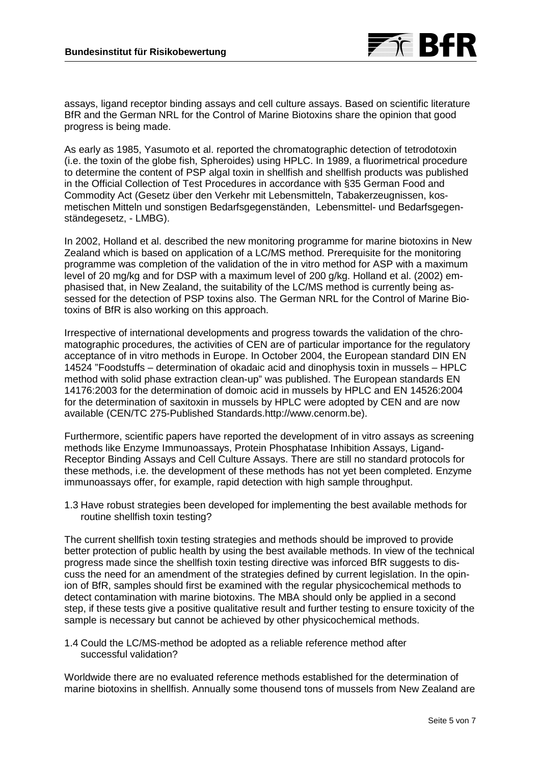

assays, ligand receptor binding assays and cell culture assays. Based on scientific literature BfR and the German NRL for the Control of Marine Biotoxins share the opinion that good progress is being made.

As early as 1985, Yasumoto et al. reported the chromatographic detection of tetrodotoxin (i.e. the toxin of the globe fish, Spheroides) using HPLC. In 1989, a fluorimetrical procedure to determine the content of PSP algal toxin in shellfish and shellfish products was published in the Official Collection of Test Procedures in accordance with §35 German Food and Commodity Act (Gesetz über den Verkehr mit Lebensmitteln, Tabakerzeugnissen, kosmetischen Mitteln und sonstigen Bedarfsgegenständen, Lebensmittel- und Bedarfsgegenständegesetz, - LMBG).

In 2002, Holland et al. described the new monitoring programme for marine biotoxins in New Zealand which is based on application of a LC/MS method. Prerequisite for the monitoring programme was completion of the validation of the in vitro method for ASP with a maximum level of 20 mg/kg and for DSP with a maximum level of 200 g/kg. Holland et al. (2002) emphasised that, in New Zealand, the suitability of the LC/MS method is currently being assessed for the detection of PSP toxins also. The German NRL for the Control of Marine Biotoxins of BfR is also working on this approach.

Irrespective of international developments and progress towards the validation of the chromatographic procedures, the activities of CEN are of particular importance for the regulatory acceptance of in vitro methods in Europe. In October 2004, the European standard DIN EN 14524 "Foodstuffs – determination of okadaic acid and dinophysis toxin in mussels – HPLC method with solid phase extraction clean-up" was published. The European standards EN 14176:2003 for the determination of domoic acid in mussels by HPLC and EN 14526:2004 for the determination of saxitoxin in mussels by HPLC were adopted by CEN and are now available (CEN/TC 275-Published Standards.http://www.cenorm.be).

Furthermore, scientific papers have reported the development of in vitro assays as screening methods like Enzyme Immunoassays, Protein Phosphatase Inhibition Assays, Ligand-Receptor Binding Assays and Cell Culture Assays. There are still no standard protocols for these methods, i.e. the development of these methods has not yet been completed. Enzyme immunoassays offer, for example, rapid detection with high sample throughput.

1.3 Have robust strategies been developed for implementing the best available methods for routine shellfish toxin testing?

The current shellfish toxin testing strategies and methods should be improved to provide better protection of public health by using the best available methods. In view of the technical progress made since the shellfish toxin testing directive was inforced BfR suggests to discuss the need for an amendment of the strategies defined by current legislation. In the opinion of BfR, samples should first be examined with the regular physicochemical methods to detect contamination with marine biotoxins. The MBA should only be applied in a second step, if these tests give a positive qualitative result and further testing to ensure toxicity of the sample is necessary but cannot be achieved by other physicochemical methods.

1.4 Could the LC/MS-method be adopted as a reliable reference method after successful validation?

Worldwide there are no evaluated reference methods established for the determination of marine biotoxins in shellfish. Annually some thousend tons of mussels from New Zealand are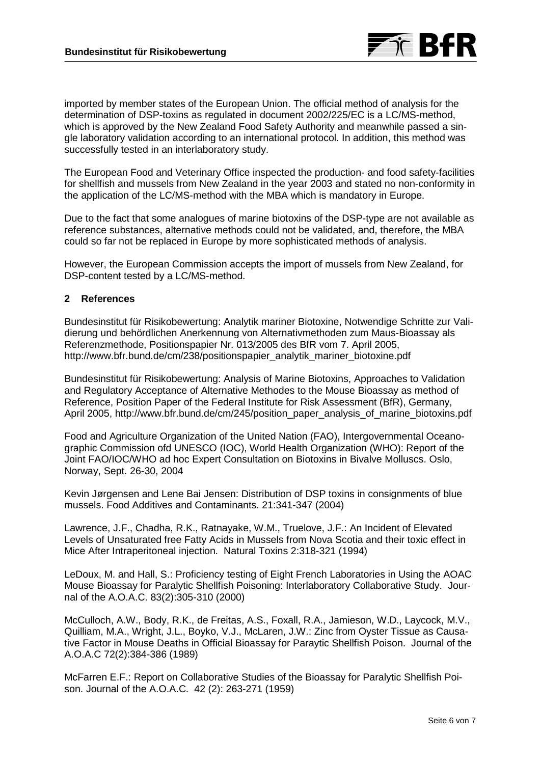

imported by member states of the European Union. The official method of analysis for the determination of DSP-toxins as regulated in document 2002/225/EC is a LC/MS-method, which is approved by the New Zealand Food Safety Authority and meanwhile passed a single laboratory validation according to an international protocol. In addition, this method was successfully tested in an interlaboratory study.

The European Food and Veterinary Office inspected the production- and food safety-facilities for shellfish and mussels from New Zealand in the year 2003 and stated no non-conformity in the application of the LC/MS-method with the MBA which is mandatory in Europe.

Due to the fact that some analogues of marine biotoxins of the DSP-type are not available as reference substances, alternative methods could not be validated, and, therefore, the MBA could so far not be replaced in Europe by more sophisticated methods of analysis.

However, the European Commission accepts the import of mussels from New Zealand, for DSP-content tested by a LC/MS-method.

## **2 References**

Bundesinstitut für Risikobewertung: Analytik mariner Biotoxine, Notwendige Schritte zur Validierung und behördlichen Anerkennung von Alternativmethoden zum Maus-Bioassay als Referenzmethode, Positionspapier Nr. 013/2005 des BfR vom 7. April 2005, http://www.bfr.bund.de/cm/238/positionspapier\_analytik\_mariner\_biotoxine.pdf

Bundesinstitut für Risikobewertung: Analysis of Marine Biotoxins, Approaches to Validation and Regulatory Acceptance of Alternative Methodes to the Mouse Bioassay as method of Reference, Position Paper of the Federal Institute for Risk Assessment (BfR), Germany, April 2005. http://www.bfr.bund.de/cm/245/position\_paper\_analysis\_of\_marine\_biotoxins.pdf

Food and Agriculture Organization of the United Nation (FAO), Intergovernmental Oceanographic Commission ofd UNESCO (IOC), World Health Organization (WHO): Report of the Joint FAO/IOC/WHO ad hoc Expert Consultation on Biotoxins in Bivalve Molluscs. Oslo, Norway, Sept. 26-30, 2004

Kevin Jørgensen and Lene Bai Jensen: Distribution of DSP toxins in consignments of blue mussels. Food Additives and Contaminants. 21:341-347 (2004)

Lawrence, J.F., Chadha, R.K., Ratnayake, W.M., Truelove, J.F.: An Incident of Elevated Levels of Unsaturated free Fatty Acids in Mussels from Nova Scotia and their toxic effect in Mice After Intraperitoneal injection. Natural Toxins 2:318-321 (1994)

LeDoux, M. and Hall, S.: Proficiency testing of Eight French Laboratories in Using the AOAC Mouse Bioassay for Paralytic Shellfish Poisoning: Interlaboratory Collaborative Study. Journal of the A.O.A.C. 83(2):305-310 (2000)

McCulloch, A.W., Body, R.K., de Freitas, A.S., Foxall, R.A., Jamieson, W.D., Laycock, M.V., Quilliam, M.A., Wright, J.L., Boyko, V.J., McLaren, J.W.: Zinc from Oyster Tissue as Causative Factor in Mouse Deaths in Official Bioassay for Paraytic Shellfish Poison. Journal of the A.O.A.C 72(2):384-386 (1989)

McFarren E.F.: Report on Collaborative Studies of the Bioassay for Paralytic Shellfish Poison. Journal of the A.O.A.C. 42 (2): 263-271 (1959)